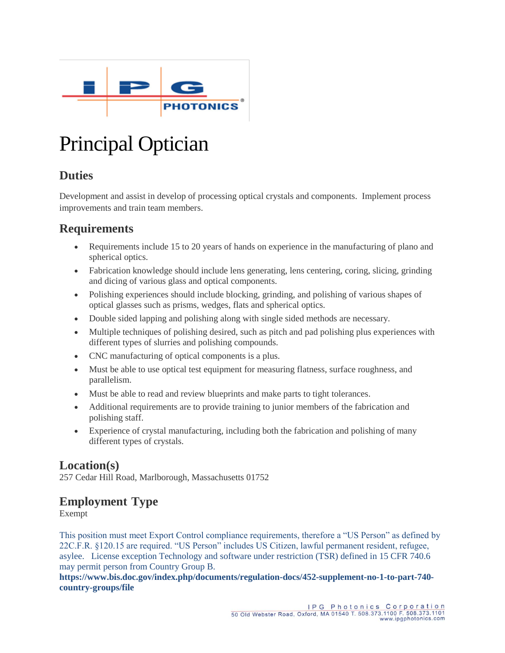

# Principal Optician

# **Duties**

Development and assist in develop of processing optical crystals and components. Implement process improvements and train team members.

# **Requirements**

- Requirements include 15 to 20 years of hands on experience in the manufacturing of plano and spherical optics.
- Fabrication knowledge should include lens generating, lens centering, coring, slicing, grinding and dicing of various glass and optical components.
- Polishing experiences should include blocking, grinding, and polishing of various shapes of optical glasses such as prisms, wedges, flats and spherical optics.
- Double sided lapping and polishing along with single sided methods are necessary.
- Multiple techniques of polishing desired, such as pitch and pad polishing plus experiences with different types of slurries and polishing compounds.
- CNC manufacturing of optical components is a plus.
- Must be able to use optical test equipment for measuring flatness, surface roughness, and parallelism.
- Must be able to read and review blueprints and make parts to tight tolerances.
- Additional requirements are to provide training to junior members of the fabrication and polishing staff.
- Experience of crystal manufacturing, including both the fabrication and polishing of many different types of crystals.

### **Location(s)**

257 Cedar Hill Road, Marlborough, Massachusetts 01752

# **Employment Type**

Exempt

This position must meet Export Control compliance requirements, therefore a "US Person" as defined by 22C.F.R. §120.15 are required. "US Person" includes US Citizen, lawful permanent resident, refugee, asylee. License exception Technology and software under restriction (TSR) defined in 15 CFR 740.6 may permit person from Country Group B.

**[https://www.bis.doc.gov/index.php/documents/regulation-docs/452-supplement-no-1-to-part-740](https://www.bis.doc.gov/index.php/documents/regulation-docs/452-supplement-no-1-to-part-740-country-groups/file) [country-groups/file](https://www.bis.doc.gov/index.php/documents/regulation-docs/452-supplement-no-1-to-part-740-country-groups/file)**